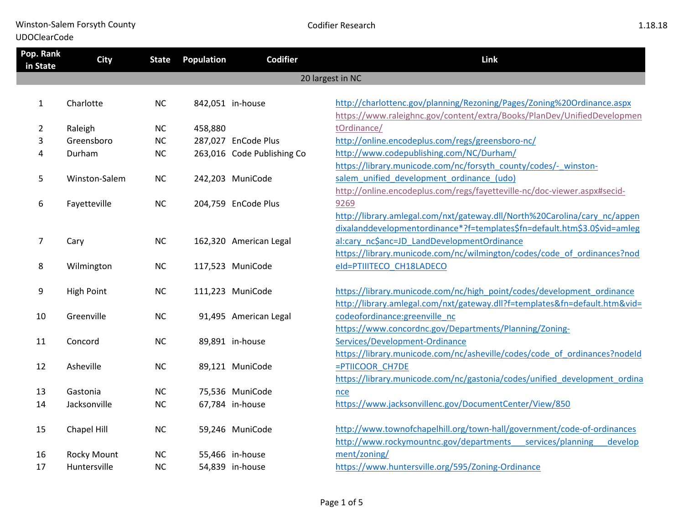Winston-Salem Forsyth County UDOClearCode

| Pop. Rank<br>in State | <b>City</b>        | <b>State</b> | <b>Population</b> | <b>Codifier</b>            | Link                                                                       |
|-----------------------|--------------------|--------------|-------------------|----------------------------|----------------------------------------------------------------------------|
|                       |                    |              |                   |                            | 20 largest in NC                                                           |
|                       |                    |              |                   |                            |                                                                            |
| $\mathbf{1}$          | Charlotte          | NC           |                   | 842,051 in-house           | http://charlottenc.gov/planning/Rezoning/Pages/Zoning%20Ordinance.aspx     |
|                       |                    |              |                   |                            | https://www.raleighnc.gov/content/extra/Books/PlanDev/UnifiedDevelopmen    |
| $\overline{2}$        | Raleigh            | <b>NC</b>    | 458,880           |                            | tOrdinance/                                                                |
| 3                     | Greensboro         | <b>NC</b>    |                   | 287,027 EnCode Plus        | http://online.encodeplus.com/regs/greensboro-nc/                           |
| 4                     | Durham             | NC           |                   | 263,016 Code Publishing Co | http://www.codepublishing.com/NC/Durham/                                   |
|                       |                    |              |                   |                            | https://library.municode.com/nc/forsyth_county/codes/-_winston-            |
| 5                     | Winston-Salem      | <b>NC</b>    |                   | 242,203 MuniCode           | salem unified development ordinance (udo)                                  |
|                       |                    |              |                   |                            | http://online.encodeplus.com/regs/fayetteville-nc/doc-viewer.aspx#secid-   |
| 6                     | Fayetteville       | <b>NC</b>    |                   | 204,759 EnCode Plus        | 9269                                                                       |
|                       |                    |              |                   |                            | http://library.amlegal.com/nxt/gateway.dll/North%20Carolina/cary nc/appen  |
|                       |                    |              |                   |                            | dixalanddevelopmentordinance*?f=templates\$fn=default.htm\$3.0\$vid=amleg  |
| 7                     | Cary               | <b>NC</b>    |                   | 162,320 American Legal     | al:cary nc\$anc=JD LandDevelopmentOrdinance                                |
|                       |                    |              |                   |                            | https://library.municode.com/nc/wilmington/codes/code of ordinances?nod    |
| 8                     | Wilmington         | <b>NC</b>    |                   | 117,523 MuniCode           | eld=PTIIITECO CH18LADECO                                                   |
|                       |                    |              |                   |                            |                                                                            |
| 9                     | <b>High Point</b>  | NC           |                   | 111,223 MuniCode           | https://library.municode.com/nc/high_point/codes/development_ordinance     |
|                       |                    |              |                   |                            | http://library.amlegal.com/nxt/gateway.dll?f=templates&fn=default.htm&vid= |
| 10                    | Greenville         | <b>NC</b>    |                   | 91,495 American Legal      | codeofordinance: greenville nc                                             |
|                       |                    |              |                   |                            | https://www.concordnc.gov/Departments/Planning/Zoning-                     |
| 11                    | Concord            | <b>NC</b>    |                   | 89,891 in-house            | Services/Development-Ordinance                                             |
|                       |                    |              |                   |                            | https://library.municode.com/nc/asheville/codes/code_of_ordinances?nodeld  |
| 12                    | Asheville          | NC           |                   | 89,121 MuniCode            | =PTIICOOR CH7DE                                                            |
|                       |                    |              |                   |                            | https://library.municode.com/nc/gastonia/codes/unified development ordina  |
| 13                    | Gastonia           | <b>NC</b>    |                   | 75,536 MuniCode            | nce                                                                        |
| 14                    | Jacksonville       | NC           |                   | 67,784 in-house            | https://www.jacksonvillenc.gov/DocumentCenter/View/850                     |
|                       |                    |              |                   |                            |                                                                            |
| 15                    | Chapel Hill        | <b>NC</b>    |                   | 59,246 MuniCode            | http://www.townofchapelhill.org/town-hall/government/code-of-ordinances    |
|                       |                    |              |                   |                            | http://www.rockymountnc.gov/departments services/planning<br>develop       |
| 16                    | <b>Rocky Mount</b> | <b>NC</b>    |                   | 55,466 in-house            | ment/zoning/                                                               |
| 17                    | Huntersville       | <b>NC</b>    |                   | 54,839 in-house            | https://www.huntersville.org/595/Zoning-Ordinance                          |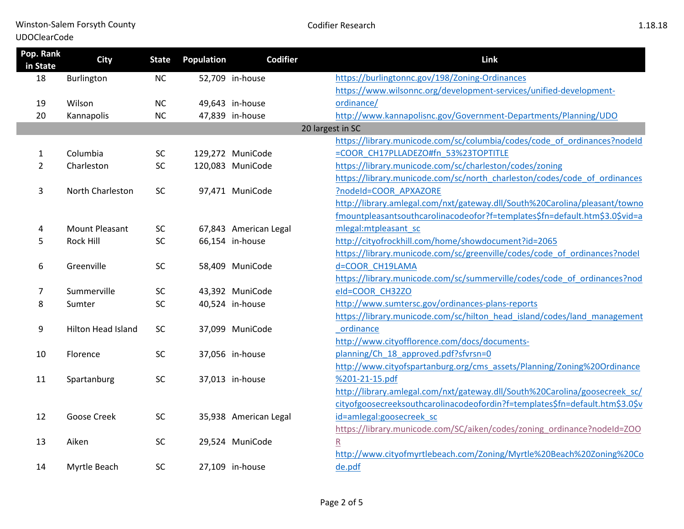Winston-Salem Forsyth County

## UDOClearCode

| Pop. Rank<br>in State | <b>City</b>               | <b>State</b> | Population | <b>Codifier</b>       | Link                                                                         |
|-----------------------|---------------------------|--------------|------------|-----------------------|------------------------------------------------------------------------------|
| 18                    | Burlington                | NC           |            | 52,709 in-house       | https://burlingtonnc.gov/198/Zoning-Ordinances                               |
|                       |                           |              |            |                       | https://www.wilsonnc.org/development-services/unified-development-           |
| 19                    | Wilson                    | <b>NC</b>    |            | 49,643 in-house       | ordinance/                                                                   |
| 20                    | Kannapolis                | <b>NC</b>    |            | 47,839 in-house       | http://www.kannapolisnc.gov/Government-Departments/Planning/UDO              |
|                       |                           |              |            |                       | 20 largest in SC                                                             |
|                       |                           |              |            |                       | https://library.municode.com/sc/columbia/codes/code_of_ordinances?nodeId     |
| 1                     | Columbia                  | <b>SC</b>    |            | 129,272 MuniCode      | =COOR CH17PLLADEZO#fn 53%23TOPTITLE                                          |
| $\overline{2}$        | Charleston                | SC           |            | 120,083 MuniCode      | https://library.municode.com/sc/charleston/codes/zoning                      |
|                       |                           |              |            |                       | https://library.municode.com/sc/north_charleston/codes/code_of_ordinances    |
| 3                     | North Charleston          | <b>SC</b>    |            | 97,471 MuniCode       | ?nodeld=COOR APXAZORE                                                        |
|                       |                           |              |            |                       | http://library.amlegal.com/nxt/gateway.dll/South%20Carolina/pleasant/towno   |
|                       |                           |              |            |                       | fmountpleasantsouthcarolinacodeofor?f=templates\$fn=default.htm\$3.0\$vid=a  |
| 4                     | <b>Mount Pleasant</b>     | <b>SC</b>    |            | 67,843 American Legal | mlegal: mtpleasant sc                                                        |
| 5                     | Rock Hill                 | <b>SC</b>    |            | 66,154 in-house       | http://cityofrockhill.com/home/showdocument?id=2065                          |
|                       |                           |              |            |                       | https://library.municode.com/sc/greenville/codes/code of ordinances?nodel    |
| 6                     | Greenville                | SC           |            | 58,409 MuniCode       | d=COOR CH19LAMA                                                              |
|                       |                           |              |            |                       | https://library.municode.com/sc/summerville/codes/code of ordinances?nod     |
| 7                     | Summerville               | <b>SC</b>    |            | 43,392 MuniCode       | eld=COOR CH32ZO                                                              |
| 8                     | Sumter                    | SC           |            | 40,524 in-house       | http://www.sumtersc.gov/ordinances-plans-reports                             |
|                       |                           |              |            |                       | https://library.municode.com/sc/hilton head island/codes/land management     |
| 9                     | <b>Hilton Head Island</b> | <b>SC</b>    |            | 37,099 MuniCode       | ordinance                                                                    |
|                       |                           |              |            |                       | http://www.cityofflorence.com/docs/documents-                                |
| 10                    | Florence                  | SC           |            | 37,056 in-house       | planning/Ch 18 approved.pdf?sfvrsn=0                                         |
|                       |                           |              |            |                       | http://www.cityofspartanburg.org/cms_assets/Planning/Zoning%20Ordinance      |
| 11                    | Spartanburg               | SC           |            | 37,013 in-house       | %201-21-15.pdf                                                               |
|                       |                           |              |            |                       | http://library.amlegal.com/nxt/gateway.dll/South%20Carolina/goosecreek sc/   |
|                       |                           |              |            |                       | cityofgoosecreeksouthcarolinacodeofordin?f=templates\$fn=default.htm\$3.0\$v |
| 12                    | Goose Creek               | SC           |            | 35,938 American Legal | id=amlegal:goosecreek sc                                                     |
|                       |                           |              |            |                       | https://library.municode.com/SC/aiken/codes/zoning_ordinance?nodeId=ZOO      |
| 13                    | Aiken                     | SC           |            | 29,524 MuniCode       | $\overline{\mathsf{R}}$                                                      |
|                       |                           |              |            |                       | http://www.cityofmyrtlebeach.com/Zoning/Myrtle%20Beach%20Zoning%20Co         |
| 14                    | Myrtle Beach              | <b>SC</b>    |            | 27,109 in-house       | de.pdf                                                                       |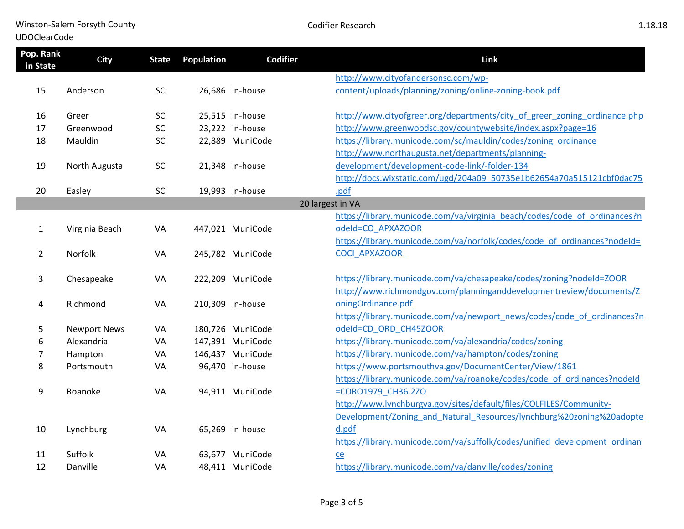Winston-Salem Forsyth County

## UDOClearCode

| Pop. Rank<br>in State | <b>City</b>         | <b>State</b> | <b>Population</b> | Codifier         | Link                                                                                      |
|-----------------------|---------------------|--------------|-------------------|------------------|-------------------------------------------------------------------------------------------|
|                       |                     |              |                   |                  | http://www.cityofandersonsc.com/wp-                                                       |
| 15                    | Anderson            | SC           |                   | 26,686 in-house  | content/uploads/planning/zoning/online-zoning-book.pdf                                    |
|                       |                     |              |                   |                  |                                                                                           |
| 16                    | Greer               | <b>SC</b>    |                   | 25,515 in-house  | http://www.cityofgreer.org/departments/city_of_greer_zoning_ordinance.php                 |
| 17                    | Greenwood           | SC           |                   | 23,222 in-house  | http://www.greenwoodsc.gov/countywebsite/index.aspx?page=16                               |
| 18                    | Mauldin             | SC           |                   | 22,889 MuniCode  | https://library.municode.com/sc/mauldin/codes/zoning ordinance                            |
|                       |                     |              |                   |                  | http://www.northaugusta.net/departments/planning-                                         |
| 19                    | North Augusta       | SC           |                   | 21,348 in-house  | development/development-code-link/-folder-134                                             |
|                       |                     |              |                   |                  | http://docs.wixstatic.com/ugd/204a09 50735e1b62654a70a515121cbf0dac75                     |
| 20                    | Easley              | <b>SC</b>    |                   | 19,993 in-house  | .pdf                                                                                      |
|                       |                     |              |                   |                  | 20 largest in VA                                                                          |
|                       |                     |              |                   |                  | https://library.municode.com/va/virginia beach/codes/code of ordinances?n                 |
| $\mathbf{1}$          | Virginia Beach      | VA           |                   | 447,021 MuniCode | odeld=CO APXAZOOR                                                                         |
|                       |                     |              |                   |                  | https://library.municode.com/va/norfolk/codes/code of ordinances?nodeId=                  |
| $\overline{2}$        | Norfolk             | VA           |                   | 245,782 MuniCode | <b>COCI APXAZOOR</b>                                                                      |
|                       |                     |              |                   |                  |                                                                                           |
| 3                     | Chesapeake          | VA           |                   | 222,209 MuniCode | https://library.municode.com/va/chesapeake/codes/zoning?nodeId=ZOOR                       |
|                       |                     |              |                   |                  | http://www.richmondgov.com/planninganddevelopmentreview/documents/Z<br>oningOrdinance.pdf |
| 4                     | Richmond            | VA           |                   | 210,309 in-house |                                                                                           |
|                       |                     |              |                   |                  | https://library.municode.com/va/newport_news/codes/code_of_ordinances?n                   |
| 5                     | <b>Newport News</b> | VA           |                   | 180,726 MuniCode | odeld=CD ORD CH45ZOOR                                                                     |
| 6                     | Alexandria          | VA           |                   | 147,391 MuniCode | https://library.municode.com/va/alexandria/codes/zoning                                   |
| 7                     | Hampton             | VA           |                   | 146,437 MuniCode | https://library.municode.com/va/hampton/codes/zoning                                      |
| 8                     | Portsmouth          | VA           |                   | 96,470 in-house  | https://www.portsmouthva.gov/DocumentCenter/View/1861                                     |
|                       |                     |              |                   |                  | https://library.municode.com/va/roanoke/codes/code_of_ordinances?nodeId                   |
| 9                     | Roanoke             | VA           |                   | 94,911 MuniCode  | =CORO1979 CH36.2ZO                                                                        |
|                       |                     |              |                   |                  | http://www.lynchburgva.gov/sites/default/files/COLFILES/Community-                        |
|                       |                     |              |                   |                  | Development/Zoning and Natural Resources/lynchburg%20zoning%20adopte                      |
| 10                    | Lynchburg           | VA           |                   | 65,269 in-house  | d.pdf                                                                                     |
|                       |                     |              |                   |                  | https://library.municode.com/va/suffolk/codes/unified development ordinan                 |
| 11                    | Suffolk             | VA           |                   | 63,677 MuniCode  | $ce$                                                                                      |
| 12                    | Danville            | VA           |                   | 48,411 MuniCode  | https://library.municode.com/va/danville/codes/zoning                                     |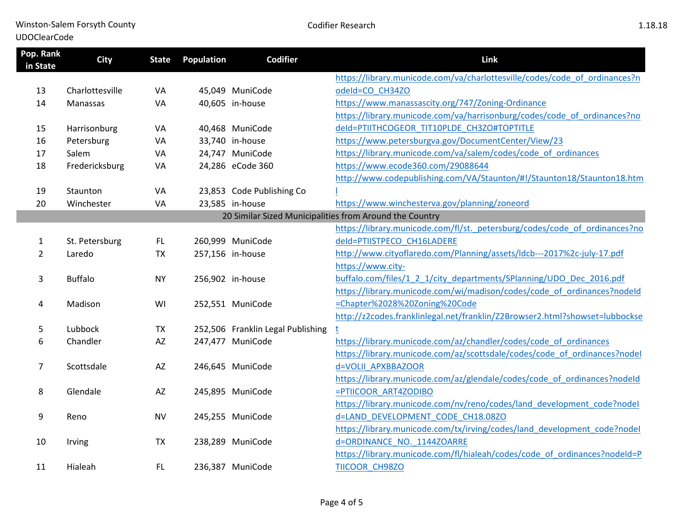Winston-Salem Forsyth County

## UDOClearCode

| Pop. Rank<br>in State | <b>City</b>     | <b>State</b> | Population | <b>Codifier</b>                   | Link                                                                        |
|-----------------------|-----------------|--------------|------------|-----------------------------------|-----------------------------------------------------------------------------|
|                       |                 |              |            |                                   | https://library.municode.com/va/charlottesville/codes/code of ordinances?n  |
| 13                    | Charlottesville | VA           |            | 45,049 MuniCode                   | odeId=CO CH34ZO                                                             |
| 14                    | Manassas        | VA           |            | 40,605 in-house                   | https://www.manassascity.org/747/Zoning-Ordinance                           |
|                       |                 |              |            |                                   | https://library.municode.com/va/harrisonburg/codes/code_of_ordinances?no    |
| 15                    | Harrisonburg    | VA           |            | 40,468 MuniCode                   | deld=PTIITHCOGEOR TIT10PLDE CH3ZO#TOPTITLE                                  |
| 16                    | Petersburg      | VA           |            | 33,740 in-house                   | https://www.petersburgva.gov/DocumentCenter/View/23                         |
| 17                    | Salem           | VA           |            | 24,747 MuniCode                   | https://library.municode.com/va/salem/codes/code_of_ordinances              |
| 18                    | Fredericksburg  | VA           |            | 24,286 eCode 360                  | https://www.ecode360.com/29088644                                           |
|                       |                 |              |            |                                   | http://www.codepublishing.com/VA/Staunton/#!/Staunton18/Staunton18.htm      |
| 19                    | Staunton        | VA           |            | 23,853 Code Publishing Co         |                                                                             |
| 20                    | Winchester      | VA           |            | 23,585 in-house                   | https://www.winchesterva.gov/planning/zoneord                               |
|                       |                 |              |            |                                   | 20 Similar Sized Municipalities from Around the Country                     |
|                       |                 |              |            |                                   | https://library.municode.com/fl/st. petersburg/codes/code of ordinances?no  |
| 1                     | St. Petersburg  | FL.          |            | 260,999 MuniCode                  | deld=PTIISTPECO CH16LADERE                                                  |
| $\overline{2}$        | Laredo          | <b>TX</b>    |            | 257,156 in-house                  | http://www.cityoflaredo.com/Planning/assets/ldcb---2017%2c-july-17.pdf      |
|                       |                 |              |            |                                   | https://www.city-                                                           |
| 3                     | <b>Buffalo</b>  | <b>NY</b>    |            | 256,902 in-house                  | buffalo.com/files/1 2 1/city departments/SPlanning/UDO Dec 2016.pdf         |
|                       |                 |              |            |                                   | https://library.municode.com/wi/madison/codes/code_of_ordinances?nodeId     |
| 4                     | Madison         | WI           |            | 252,551 MuniCode                  | =Chapter%2028%20Zoning%20Code                                               |
|                       |                 |              |            |                                   | http://z2codes.franklinlegal.net/franklin/Z2Browser2.html?showset=lubbockse |
| 5                     | Lubbock         | <b>TX</b>    |            | 252,506 Franklin Legal Publishing |                                                                             |
| 6                     | Chandler        | AZ           |            | 247,477 MuniCode                  | https://library.municode.com/az/chandler/codes/code_of_ordinances           |
|                       |                 |              |            |                                   | https://library.municode.com/az/scottsdale/codes/code of ordinances?nodel   |
| 7                     | Scottsdale      | AZ           |            | 246,645 MuniCode                  | d=VOLII APXBBAZOOR                                                          |
|                       |                 |              |            |                                   | https://library.municode.com/az/glendale/codes/code_of_ordinances?nodeId    |
| 8                     | Glendale        | AZ           |            | 245,895 MuniCode                  | =PTIICOOR ART4ZODIBO                                                        |
|                       |                 |              |            |                                   | https://library.municode.com/nv/reno/codes/land development code?nodel      |
| 9                     | Reno            | <b>NV</b>    |            | 245,255 MuniCode                  | d=LAND DEVELOPMENT CODE CH18.08ZO                                           |
|                       |                 |              |            |                                   | https://library.municode.com/tx/irving/codes/land_development_code?nodel    |
| 10                    | Irving          | <b>TX</b>    |            | 238,289 MuniCode                  | d=ORDINANCE NO. 1144ZOARRE                                                  |
|                       |                 |              |            |                                   | https://library.municode.com/fl/hialeah/codes/code of ordinances?nodeId=P   |
| 11                    | Hialeah         | FL.          |            | 236,387 MuniCode                  | TIICOOR CH98ZO                                                              |